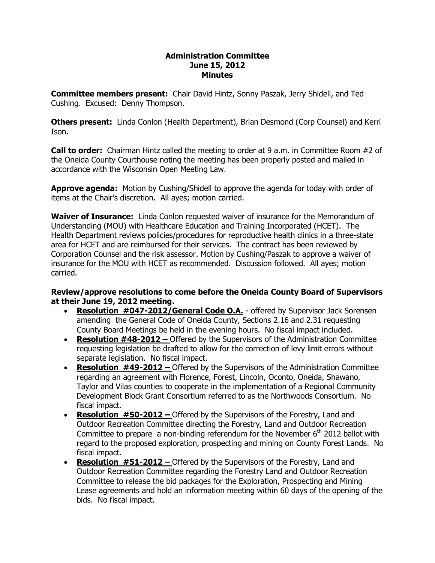## **Administration Committee June 15, 2012 Minutes**

**Committee members present:**  Chair David Hintz, Sonny Paszak, Jerry Shidell, and Ted Cushing. Excused: Denny Thompson.

**Others present:**  Linda Conlon (Health Department), Brian Desmond (Corp Counsel) and Kerri Ison.

**Call to order:**  Chairman Hintz called the meeting to order at 9 a.m. in Committee Room #2 of the Oneida County Courthouse noting the meeting has been properly posted and mailed in accordance with the Wisconsin Open Meeting Law.

**Approve agenda:** Motion by Cushing/Shidell to approve the agenda for today with order of items at the Chair's discretion. All ayes; motion carried.

**Waiver of Insurance:** Linda Conlon requested waiver of insurance for the Memorandum of Understanding (MOU) with Healthcare Education and Training Incorporated (HCET). The Health Department reviews policies/procedures for reproductive health clinics in a three-state area for HCET and are reimbursed for their services. The contract has been reviewed by Corporation Counsel and the risk assessor. Motion by Cushing/Paszak to approve a waiver of insurance for the MOU with HCET as recommended. Discussion followed. All ayes; motion carried.

## **Review/approve resolutions to come before the Oneida County Board of Supervisors at their June 19, 2012 meeting.**

- Resolution #047-2012/General Code O.A. offered by Supervisor Jack Sorensen amending the General Code of Oneida County, Sections 2.16 and 2.31 requesting County Board Meetings be held in the evening hours. No fiscal impact included.
- · **Resolution #482012 –** Offered by the Supervisors of the Administration Committee requesting legislation be drafted to allow for the correction of levy limit errors without separate legislation. No fiscal impact.
- · **Resolution #492012 –** Offered by the Supervisors of the Administration Committee regarding an agreement with Florence, Forest, Lincoln, Oconto, Oneida, Shawano, Taylor and Vilas counties to cooperate in the implementation of a Regional Community Development Block Grant Consortium referred to as the Northwoods Consortium. No fiscal impact.
- · **Resolution #502012 –** Offered by the Supervisors of the Forestry, Land and Outdoor Recreation Committee directing the Forestry, Land and Outdoor Recreation Committee to prepare a non-binding referendum for the November  $6<sup>th</sup>$  2012 ballot with regard to the proposed exploration, prospecting and mining on County Forest Lands. No fiscal impact.
- · **Resolution #512012 –** Offered by the Supervisors of the Forestry, Land and Outdoor Recreation Committee regarding the Forestry Land and Outdoor Recreation Committee to release the bid packages for the Exploration, Prospecting and Mining Lease agreements and hold an information meeting within 60 days of the opening of the bids. No fiscal impact.